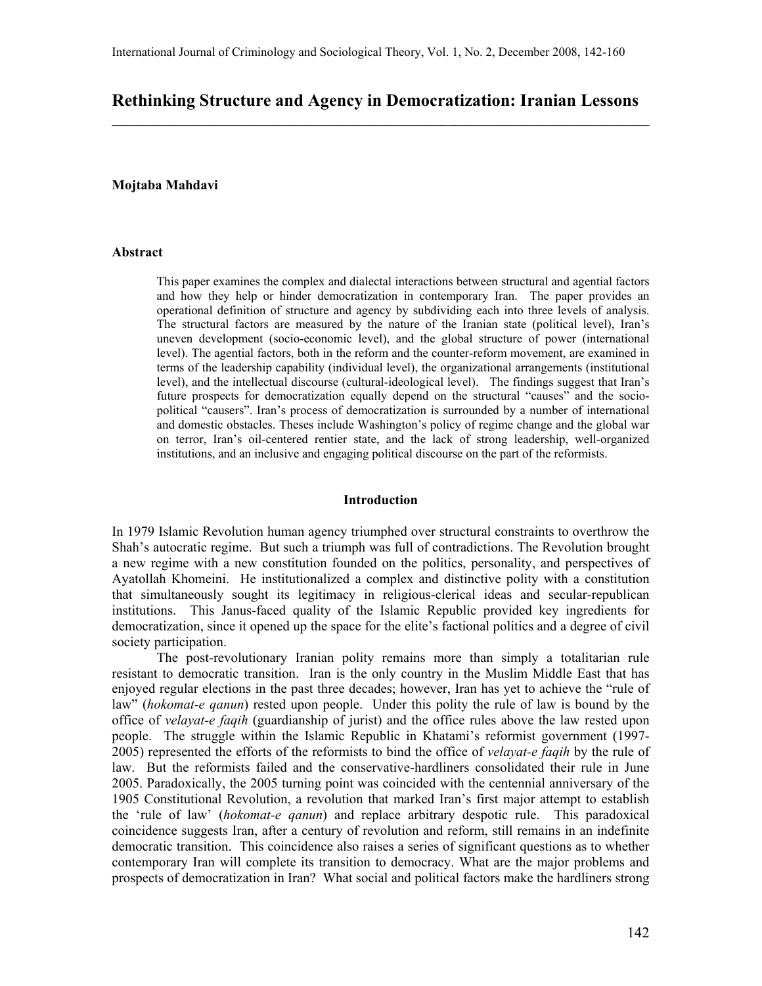# Rethinking Structure and Agency in Democratization: Iranian Lessons \_\_\_\_\_\_\_\_\_\_\_\_\_\_\_\_\_\_\_\_\_\_\_\_\_\_\_\_\_\_\_\_\_\_\_\_\_\_\_\_\_\_\_\_\_\_\_\_\_\_\_\_\_\_\_\_\_\_\_\_\_\_\_\_\_\_\_\_\_\_\_\_

# Mojtaba Mahdavi

#### Abstract

This paper examines the complex and dialectal interactions between structural and agential factors and how they help or hinder democratization in contemporary Iran. The paper provides an operational definition of structure and agency by subdividing each into three levels of analysis. The structural factors are measured by the nature of the Iranian state (political level), Iran's uneven development (socio-economic level), and the global structure of power (international level). The agential factors, both in the reform and the counter-reform movement, are examined in terms of the leadership capability (individual level), the organizational arrangements (institutional level), and the intellectual discourse (cultural-ideological level). The findings suggest that Iran's future prospects for democratization equally depend on the structural "causes" and the sociopolitical "causers". Iran's process of democratization is surrounded by a number of international and domestic obstacles. Theses include Washington's policy of regime change and the global war on terror, Iran's oil-centered rentier state, and the lack of strong leadership, well-organized institutions, and an inclusive and engaging political discourse on the part of the reformists.

## Introduction

In 1979 Islamic Revolution human agency triumphed over structural constraints to overthrow the Shah's autocratic regime. But such a triumph was full of contradictions. The Revolution brought a new regime with a new constitution founded on the politics, personality, and perspectives of Ayatollah Khomeini. He institutionalized a complex and distinctive polity with a constitution that simultaneously sought its legitimacy in religious-clerical ideas and secular-republican institutions. This Janus-faced quality of the Islamic Republic provided key ingredients for democratization, since it opened up the space for the elite's factional politics and a degree of civil society participation.

The post-revolutionary Iranian polity remains more than simply a totalitarian rule resistant to democratic transition. Iran is the only country in the Muslim Middle East that has enjoyed regular elections in the past three decades; however, Iran has yet to achieve the "rule of law" (hokomat-e qanun) rested upon people. Under this polity the rule of law is bound by the office of *velayat-e faqih* (guardianship of jurist) and the office rules above the law rested upon people. The struggle within the Islamic Republic in Khatami's reformist government (1997- 2005) represented the efforts of the reformists to bind the office of *velayat-e faqih* by the rule of law. But the reformists failed and the conservative-hardliners consolidated their rule in June 2005. Paradoxically, the 2005 turning point was coincided with the centennial anniversary of the 1905 Constitutional Revolution, a revolution that marked Iran's first major attempt to establish the 'rule of law' (hokomat-e qanun) and replace arbitrary despotic rule. This paradoxical coincidence suggests Iran, after a century of revolution and reform, still remains in an indefinite democratic transition. This coincidence also raises a series of significant questions as to whether contemporary Iran will complete its transition to democracy. What are the major problems and prospects of democratization in Iran? What social and political factors make the hardliners strong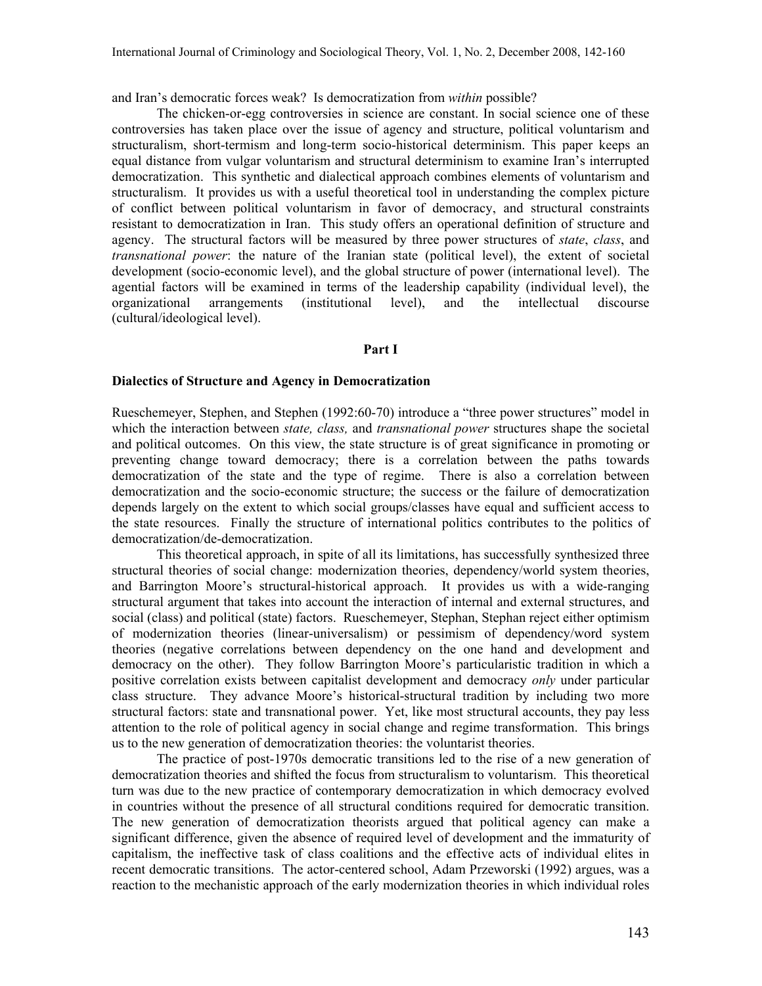and Iran's democratic forces weak? Is democratization from within possible?

The chicken-or-egg controversies in science are constant. In social science one of these controversies has taken place over the issue of agency and structure, political voluntarism and structuralism, short-termism and long-term socio-historical determinism. This paper keeps an equal distance from vulgar voluntarism and structural determinism to examine Iran's interrupted democratization. This synthetic and dialectical approach combines elements of voluntarism and structuralism. It provides us with a useful theoretical tool in understanding the complex picture of conflict between political voluntarism in favor of democracy, and structural constraints resistant to democratization in Iran. This study offers an operational definition of structure and agency. The structural factors will be measured by three power structures of *state, class*, and transnational power: the nature of the Iranian state (political level), the extent of societal development (socio-economic level), and the global structure of power (international level). The agential factors will be examined in terms of the leadership capability (individual level), the organizational arrangements (institutional level), and the intellectual discourse (cultural/ideological level).

### Part I

#### Dialectics of Structure and Agency in Democratization

Rueschemeyer, Stephen, and Stephen (1992:60-70) introduce a "three power structures" model in which the interaction between *state, class,* and *transnational power* structures shape the societal and political outcomes. On this view, the state structure is of great significance in promoting or preventing change toward democracy; there is a correlation between the paths towards democratization of the state and the type of regime. There is also a correlation between democratization and the socio-economic structure; the success or the failure of democratization depends largely on the extent to which social groups/classes have equal and sufficient access to the state resources. Finally the structure of international politics contributes to the politics of democratization/de-democratization.

This theoretical approach, in spite of all its limitations, has successfully synthesized three structural theories of social change: modernization theories, dependency/world system theories, and Barrington Moore's structural-historical approach. It provides us with a wide-ranging structural argument that takes into account the interaction of internal and external structures, and social (class) and political (state) factors. Rueschemeyer, Stephan, Stephan reject either optimism of modernization theories (linear-universalism) or pessimism of dependency/word system theories (negative correlations between dependency on the one hand and development and democracy on the other). They follow Barrington Moore's particularistic tradition in which a positive correlation exists between capitalist development and democracy *only* under particular class structure. They advance Moore's historical-structural tradition by including two more structural factors: state and transnational power. Yet, like most structural accounts, they pay less attention to the role of political agency in social change and regime transformation. This brings us to the new generation of democratization theories: the voluntarist theories.

The practice of post-1970s democratic transitions led to the rise of a new generation of democratization theories and shifted the focus from structuralism to voluntarism. This theoretical turn was due to the new practice of contemporary democratization in which democracy evolved in countries without the presence of all structural conditions required for democratic transition. The new generation of democratization theorists argued that political agency can make a significant difference, given the absence of required level of development and the immaturity of capitalism, the ineffective task of class coalitions and the effective acts of individual elites in recent democratic transitions. The actor-centered school, Adam Przeworski (1992) argues, was a reaction to the mechanistic approach of the early modernization theories in which individual roles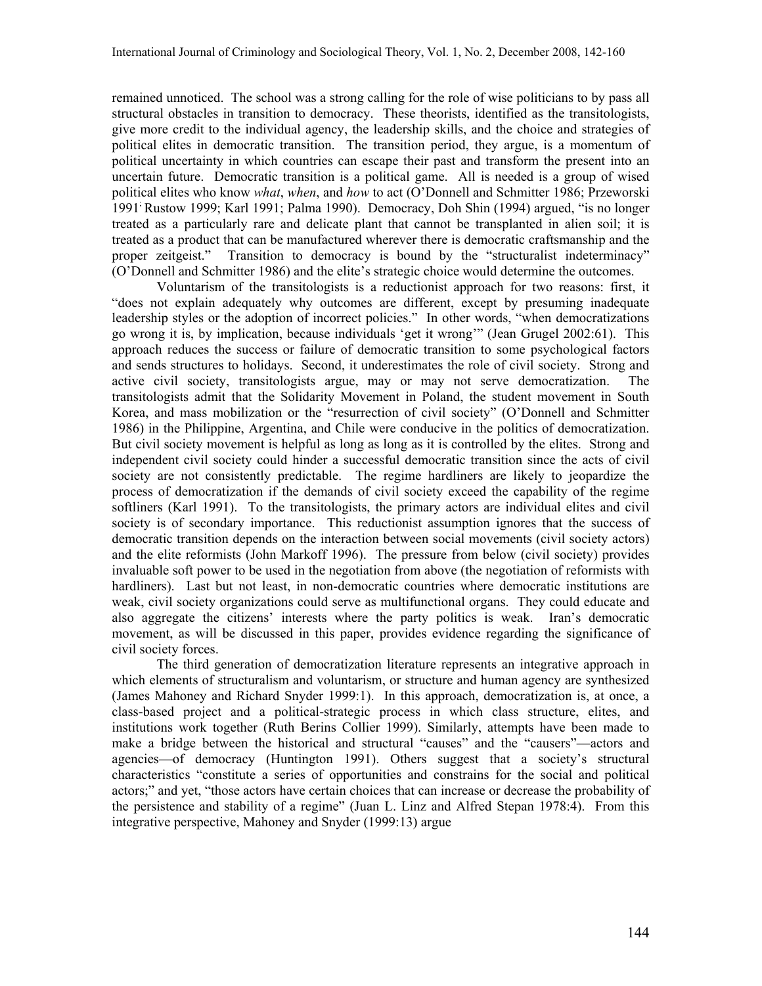remained unnoticed. The school was a strong calling for the role of wise politicians to by pass all structural obstacles in transition to democracy. These theorists, identified as the transitologists, give more credit to the individual agency, the leadership skills, and the choice and strategies of political elites in democratic transition. The transition period, they argue, is a momentum of political uncertainty in which countries can escape their past and transform the present into an uncertain future. Democratic transition is a political game. All is needed is a group of wised political elites who know *what, when, and how to act (O'Donnell and Schmitter 1986; Przeworski* 1991; Rustow 1999; Karl 1991; Palma 1990). Democracy, Doh Shin (1994) argued, "is no longer treated as a particularly rare and delicate plant that cannot be transplanted in alien soil; it is treated as a product that can be manufactured wherever there is democratic craftsmanship and the proper zeitgeist." Transition to democracy is bound by the "structuralist indeterminacy" (O'Donnell and Schmitter 1986) and the elite's strategic choice would determine the outcomes.

Voluntarism of the transitologists is a reductionist approach for two reasons: first, it "does not explain adequately why outcomes are different, except by presuming inadequate leadership styles or the adoption of incorrect policies." In other words, "when democratizations go wrong it is, by implication, because individuals 'get it wrong'" (Jean Grugel 2002:61). This approach reduces the success or failure of democratic transition to some psychological factors and sends structures to holidays. Second, it underestimates the role of civil society. Strong and active civil society, transitologists argue, may or may not serve democratization. The transitologists admit that the Solidarity Movement in Poland, the student movement in South Korea, and mass mobilization or the "resurrection of civil society" (O'Donnell and Schmitter 1986) in the Philippine, Argentina, and Chile were conducive in the politics of democratization. But civil society movement is helpful as long as long as it is controlled by the elites. Strong and independent civil society could hinder a successful democratic transition since the acts of civil society are not consistently predictable. The regime hardliners are likely to jeopardize the process of democratization if the demands of civil society exceed the capability of the regime softliners (Karl 1991). To the transitologists, the primary actors are individual elites and civil society is of secondary importance. This reductionist assumption ignores that the success of democratic transition depends on the interaction between social movements (civil society actors) and the elite reformists (John Markoff 1996). The pressure from below (civil society) provides invaluable soft power to be used in the negotiation from above (the negotiation of reformists with hardliners). Last but not least, in non-democratic countries where democratic institutions are weak, civil society organizations could serve as multifunctional organs. They could educate and also aggregate the citizens' interests where the party politics is weak. Iran's democratic movement, as will be discussed in this paper, provides evidence regarding the significance of civil society forces.

The third generation of democratization literature represents an integrative approach in which elements of structuralism and voluntarism, or structure and human agency are synthesized (James Mahoney and Richard Snyder 1999:1). In this approach, democratization is, at once, a class-based project and a political-strategic process in which class structure, elites, and institutions work together (Ruth Berins Collier 1999). Similarly, attempts have been made to make a bridge between the historical and structural "causes" and the "causers"—actors and agencies—of democracy (Huntington 1991). Others suggest that a society's structural characteristics "constitute a series of opportunities and constrains for the social and political actors;" and yet, "those actors have certain choices that can increase or decrease the probability of the persistence and stability of a regime" (Juan L. Linz and Alfred Stepan 1978:4). From this integrative perspective, Mahoney and Snyder (1999:13) argue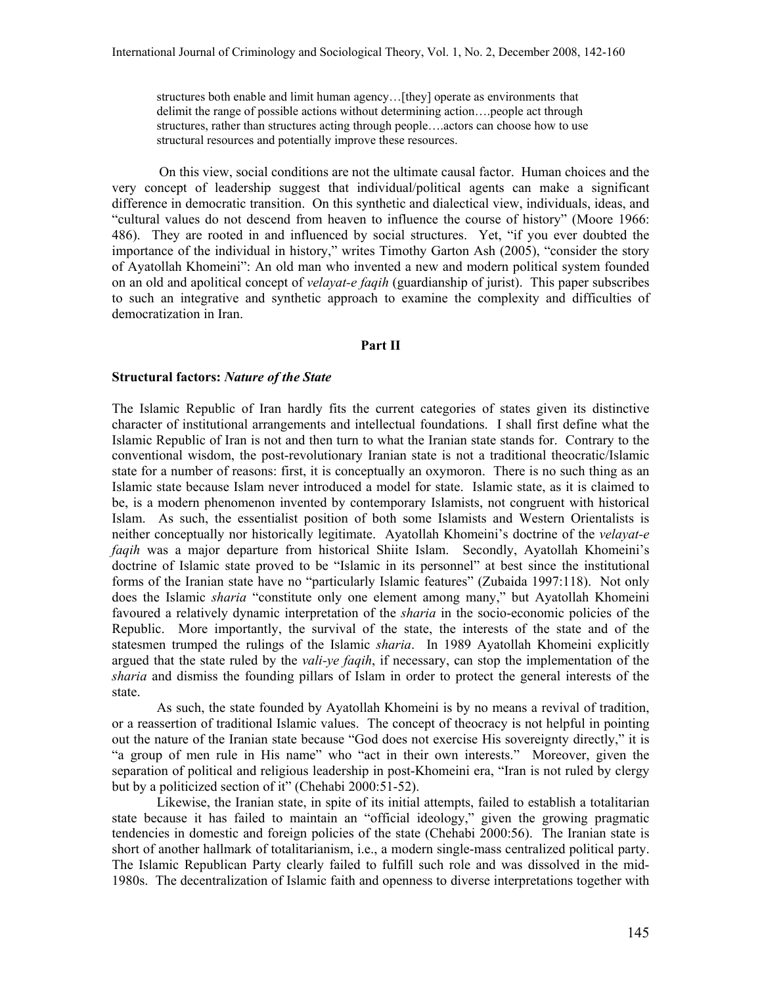structures both enable and limit human agency…[they] operate as environments that delimit the range of possible actions without determining action….people act through structures, rather than structures acting through people….actors can choose how to use structural resources and potentially improve these resources.

On this view, social conditions are not the ultimate causal factor. Human choices and the very concept of leadership suggest that individual/political agents can make a significant difference in democratic transition. On this synthetic and dialectical view, individuals, ideas, and "cultural values do not descend from heaven to influence the course of history" (Moore 1966: 486). They are rooted in and influenced by social structures. Yet, "if you ever doubted the importance of the individual in history," writes Timothy Garton Ash (2005), "consider the story of Ayatollah Khomeini": An old man who invented a new and modern political system founded on an old and apolitical concept of *velayat-e faqih* (guardianship of jurist). This paper subscribes to such an integrative and synthetic approach to examine the complexity and difficulties of democratization in Iran.

## Part II

#### Structural factors: Nature of the State

The Islamic Republic of Iran hardly fits the current categories of states given its distinctive character of institutional arrangements and intellectual foundations. I shall first define what the Islamic Republic of Iran is not and then turn to what the Iranian state stands for. Contrary to the conventional wisdom, the post-revolutionary Iranian state is not a traditional theocratic/Islamic state for a number of reasons: first, it is conceptually an oxymoron. There is no such thing as an Islamic state because Islam never introduced a model for state. Islamic state, as it is claimed to be, is a modern phenomenon invented by contemporary Islamists, not congruent with historical Islam. As such, the essentialist position of both some Islamists and Western Orientalists is neither conceptually nor historically legitimate. Ayatollah Khomeini's doctrine of the velayat-e faqih was a major departure from historical Shiite Islam. Secondly, Ayatollah Khomeini's doctrine of Islamic state proved to be "Islamic in its personnel" at best since the institutional forms of the Iranian state have no "particularly Islamic features" (Zubaida 1997:118). Not only does the Islamic sharia "constitute only one element among many," but Ayatollah Khomeini favoured a relatively dynamic interpretation of the *sharia* in the socio-economic policies of the Republic. More importantly, the survival of the state, the interests of the state and of the statesmen trumped the rulings of the Islamic *sharia*. In 1989 Ayatollah Khomeini explicitly argued that the state ruled by the *vali-ye faqih*, if necessary, can stop the implementation of the sharia and dismiss the founding pillars of Islam in order to protect the general interests of the state.

As such, the state founded by Ayatollah Khomeini is by no means a revival of tradition, or a reassertion of traditional Islamic values. The concept of theocracy is not helpful in pointing out the nature of the Iranian state because "God does not exercise His sovereignty directly," it is "a group of men rule in His name" who "act in their own interests." Moreover, given the separation of political and religious leadership in post-Khomeini era, "Iran is not ruled by clergy but by a politicized section of it" (Chehabi 2000:51-52).

Likewise, the Iranian state, in spite of its initial attempts, failed to establish a totalitarian state because it has failed to maintain an "official ideology," given the growing pragmatic tendencies in domestic and foreign policies of the state (Chehabi 2000:56). The Iranian state is short of another hallmark of totalitarianism, i.e., a modern single-mass centralized political party. The Islamic Republican Party clearly failed to fulfill such role and was dissolved in the mid-1980s. The decentralization of Islamic faith and openness to diverse interpretations together with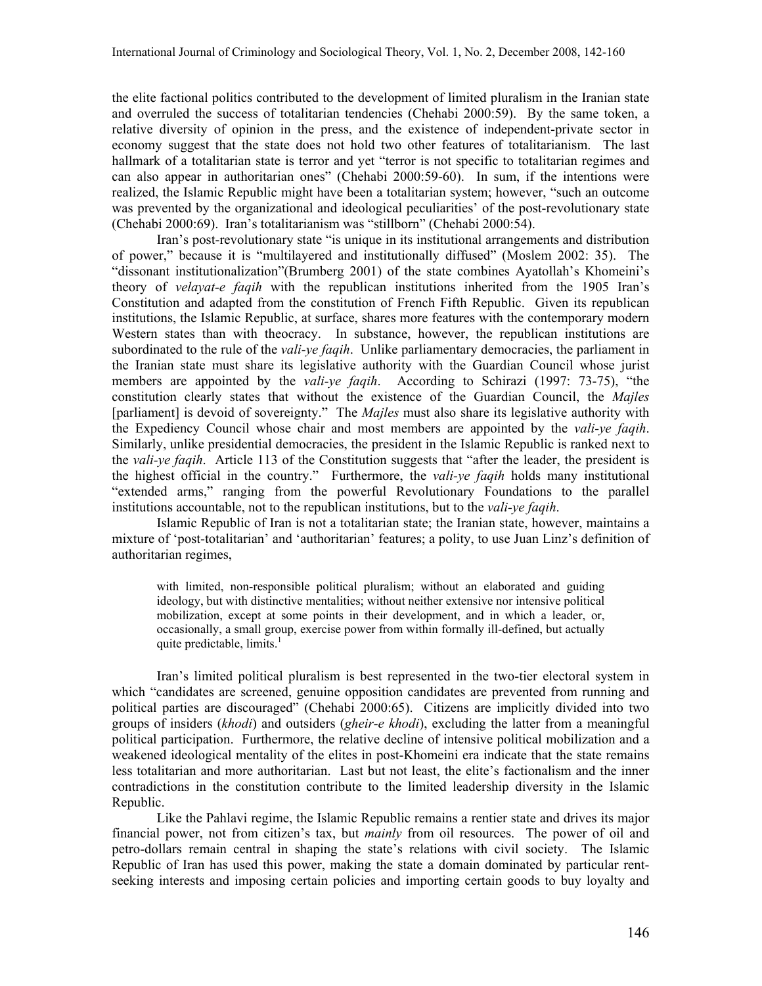the elite factional politics contributed to the development of limited pluralism in the Iranian state and overruled the success of totalitarian tendencies (Chehabi 2000:59). By the same token, a relative diversity of opinion in the press, and the existence of independent-private sector in economy suggest that the state does not hold two other features of totalitarianism. The last hallmark of a totalitarian state is terror and yet "terror is not specific to totalitarian regimes and can also appear in authoritarian ones" (Chehabi 2000:59-60). In sum, if the intentions were realized, the Islamic Republic might have been a totalitarian system; however, "such an outcome was prevented by the organizational and ideological peculiarities' of the post-revolutionary state (Chehabi 2000:69). Iran's totalitarianism was "stillborn" (Chehabi 2000:54).

Iran's post-revolutionary state "is unique in its institutional arrangements and distribution of power," because it is "multilayered and institutionally diffused" (Moslem 2002: 35). The "dissonant institutionalization"(Brumberg 2001) of the state combines Ayatollah's Khomeini's theory of velayat-e faqih with the republican institutions inherited from the 1905 Iran's Constitution and adapted from the constitution of French Fifth Republic. Given its republican institutions, the Islamic Republic, at surface, shares more features with the contemporary modern Western states than with theocracy. In substance, however, the republican institutions are subordinated to the rule of the *vali-ye faqih*. Unlike parliamentary democracies, the parliament in the Iranian state must share its legislative authority with the Guardian Council whose jurist members are appointed by the *vali-ye faqih*. According to Schirazi (1997: 73-75), "the constitution clearly states that without the existence of the Guardian Council, the Majles [parliament] is devoid of sovereignty." The Majles must also share its legislative authority with the Expediency Council whose chair and most members are appointed by the vali-ye faqih. Similarly, unlike presidential democracies, the president in the Islamic Republic is ranked next to the vali-ye faqih. Article 113 of the Constitution suggests that "after the leader, the president is the highest official in the country." Furthermore, the *vali-ve faqih* holds many institutional "extended arms," ranging from the powerful Revolutionary Foundations to the parallel institutions accountable, not to the republican institutions, but to the *vali-ye faqih*.

Islamic Republic of Iran is not a totalitarian state; the Iranian state, however, maintains a mixture of 'post-totalitarian' and 'authoritarian' features; a polity, to use Juan Linz's definition of authoritarian regimes,

with limited, non-responsible political pluralism; without an elaborated and guiding ideology, but with distinctive mentalities; without neither extensive nor intensive political mobilization, except at some points in their development, and in which a leader, or, occasionally, a small group, exercise power from within formally ill-defined, but actually quite predictable, limits.<sup>1</sup>

Iran's limited political pluralism is best represented in the two-tier electoral system in which "candidates are screened, genuine opposition candidates are prevented from running and political parties are discouraged" (Chehabi 2000:65). Citizens are implicitly divided into two groups of insiders (khodi) and outsiders (gheir-e khodi), excluding the latter from a meaningful political participation. Furthermore, the relative decline of intensive political mobilization and a weakened ideological mentality of the elites in post-Khomeini era indicate that the state remains less totalitarian and more authoritarian. Last but not least, the elite's factionalism and the inner contradictions in the constitution contribute to the limited leadership diversity in the Islamic Republic.

Like the Pahlavi regime, the Islamic Republic remains a rentier state and drives its major financial power, not from citizen's tax, but *mainly* from oil resources. The power of oil and petro-dollars remain central in shaping the state's relations with civil society. The Islamic Republic of Iran has used this power, making the state a domain dominated by particular rentseeking interests and imposing certain policies and importing certain goods to buy loyalty and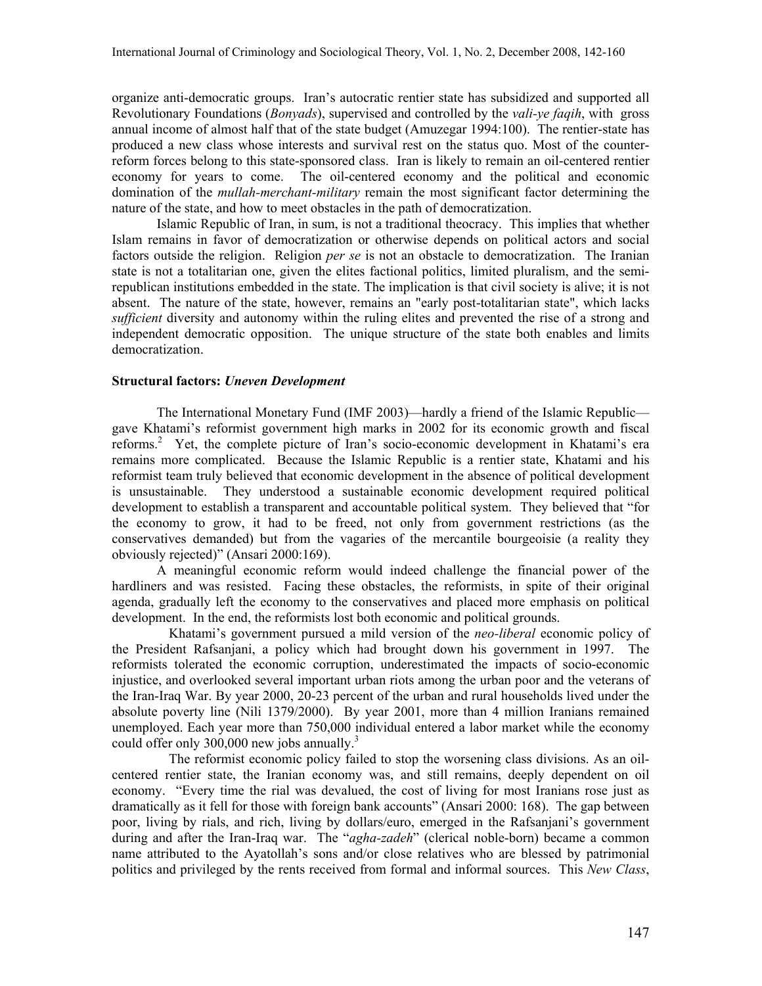organize anti-democratic groups. Iran's autocratic rentier state has subsidized and supported all Revolutionary Foundations (*Bonyads*), supervised and controlled by the *vali-ve faqih*, with gross annual income of almost half that of the state budget (Amuzegar 1994:100). The rentier-state has produced a new class whose interests and survival rest on the status quo. Most of the counterreform forces belong to this state-sponsored class. Iran is likely to remain an oil-centered rentier economy for years to come. The oil-centered economy and the political and economic domination of the *mullah-merchant-military* remain the most significant factor determining the nature of the state, and how to meet obstacles in the path of democratization.

Islamic Republic of Iran, in sum, is not a traditional theocracy. This implies that whether Islam remains in favor of democratization or otherwise depends on political actors and social factors outside the religion. Religion *per se* is not an obstacle to democratization. The Iranian state is not a totalitarian one, given the elites factional politics, limited pluralism, and the semirepublican institutions embedded in the state. The implication is that civil society is alive; it is not absent. The nature of the state, however, remains an "early post-totalitarian state", which lacks sufficient diversity and autonomy within the ruling elites and prevented the rise of a strong and independent democratic opposition. The unique structure of the state both enables and limits democratization.

# Structural factors: Uneven Development

The International Monetary Fund (IMF 2003)—hardly a friend of the Islamic Republic gave Khatami's reformist government high marks in 2002 for its economic growth and fiscal reforms.<sup>2</sup> Yet, the complete picture of Iran's socio-economic development in Khatami's era remains more complicated. Because the Islamic Republic is a rentier state, Khatami and his reformist team truly believed that economic development in the absence of political development is unsustainable. They understood a sustainable economic development required political development to establish a transparent and accountable political system. They believed that "for the economy to grow, it had to be freed, not only from government restrictions (as the conservatives demanded) but from the vagaries of the mercantile bourgeoisie (a reality they obviously rejected)" (Ansari 2000:169).

A meaningful economic reform would indeed challenge the financial power of the hardliners and was resisted. Facing these obstacles, the reformists, in spite of their original agenda, gradually left the economy to the conservatives and placed more emphasis on political development. In the end, the reformists lost both economic and political grounds.

Khatami's government pursued a mild version of the neo-liberal economic policy of the President Rafsanjani, a policy which had brought down his government in 1997. The reformists tolerated the economic corruption, underestimated the impacts of socio-economic injustice, and overlooked several important urban riots among the urban poor and the veterans of the Iran-Iraq War. By year 2000, 20-23 percent of the urban and rural households lived under the absolute poverty line (Nili 1379/2000). By year 2001, more than 4 million Iranians remained unemployed. Each year more than 750,000 individual entered a labor market while the economy could offer only 300,000 new jobs annually.<sup>3</sup>

The reformist economic policy failed to stop the worsening class divisions. As an oilcentered rentier state, the Iranian economy was, and still remains, deeply dependent on oil economy. "Every time the rial was devalued, the cost of living for most Iranians rose just as dramatically as it fell for those with foreign bank accounts" (Ansari 2000: 168). The gap between poor, living by rials, and rich, living by dollars/euro, emerged in the Rafsanjani's government during and after the Iran-Iraq war. The "*agha-zadeh*" (clerical noble-born) became a common name attributed to the Ayatollah's sons and/or close relatives who are blessed by patrimonial politics and privileged by the rents received from formal and informal sources. This New Class,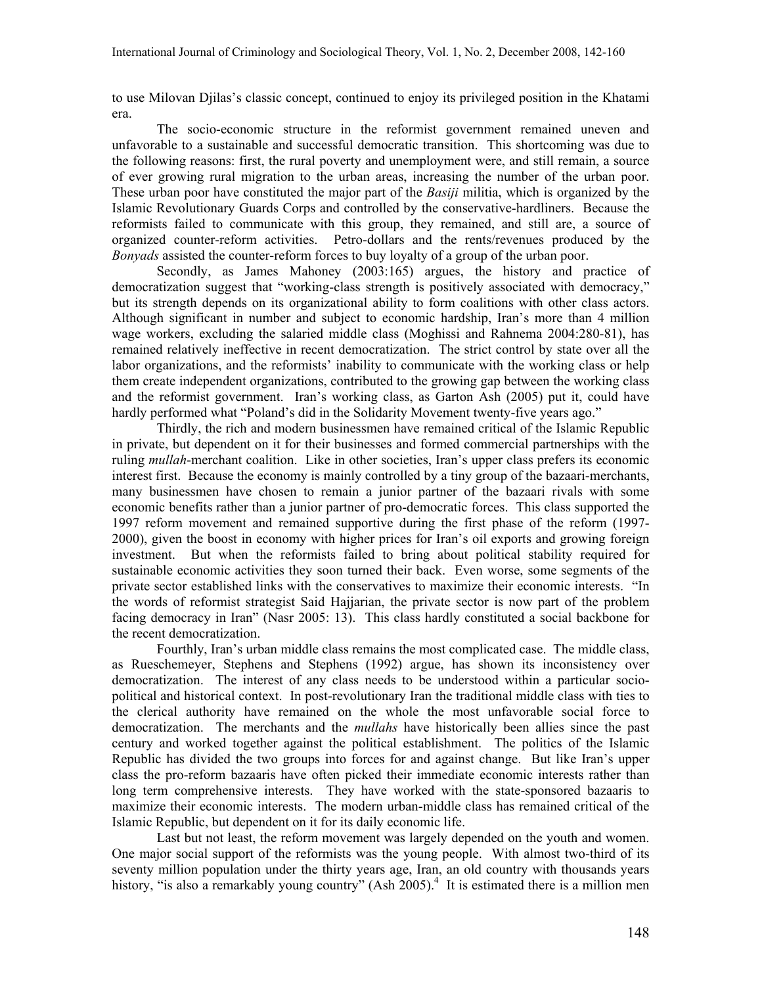to use Milovan Djilas's classic concept, continued to enjoy its privileged position in the Khatami era.

The socio-economic structure in the reformist government remained uneven and unfavorable to a sustainable and successful democratic transition. This shortcoming was due to the following reasons: first, the rural poverty and unemployment were, and still remain, a source of ever growing rural migration to the urban areas, increasing the number of the urban poor. These urban poor have constituted the major part of the *Basiji* militia, which is organized by the Islamic Revolutionary Guards Corps and controlled by the conservative-hardliners. Because the reformists failed to communicate with this group, they remained, and still are, a source of organized counter-reform activities. Petro-dollars and the rents/revenues produced by the Bonyads assisted the counter-reform forces to buy loyalty of a group of the urban poor.

Secondly, as James Mahoney (2003:165) argues, the history and practice of democratization suggest that "working-class strength is positively associated with democracy," but its strength depends on its organizational ability to form coalitions with other class actors. Although significant in number and subject to economic hardship, Iran's more than 4 million wage workers, excluding the salaried middle class (Moghissi and Rahnema 2004:280-81), has remained relatively ineffective in recent democratization. The strict control by state over all the labor organizations, and the reformists' inability to communicate with the working class or help them create independent organizations, contributed to the growing gap between the working class and the reformist government. Iran's working class, as Garton Ash (2005) put it, could have hardly performed what "Poland's did in the Solidarity Movement twenty-five years ago."

Thirdly, the rich and modern businessmen have remained critical of the Islamic Republic in private, but dependent on it for their businesses and formed commercial partnerships with the ruling *mullah*-merchant coalition. Like in other societies, Iran's upper class prefers its economic interest first. Because the economy is mainly controlled by a tiny group of the bazaari-merchants, many businessmen have chosen to remain a junior partner of the bazaari rivals with some economic benefits rather than a junior partner of pro-democratic forces. This class supported the 1997 reform movement and remained supportive during the first phase of the reform (1997- 2000), given the boost in economy with higher prices for Iran's oil exports and growing foreign investment. But when the reformists failed to bring about political stability required for sustainable economic activities they soon turned their back. Even worse, some segments of the private sector established links with the conservatives to maximize their economic interests. "In the words of reformist strategist Said Hajjarian, the private sector is now part of the problem facing democracy in Iran" (Nasr 2005: 13). This class hardly constituted a social backbone for the recent democratization.

Fourthly, Iran's urban middle class remains the most complicated case. The middle class, as Rueschemeyer, Stephens and Stephens (1992) argue, has shown its inconsistency over democratization. The interest of any class needs to be understood within a particular sociopolitical and historical context. In post-revolutionary Iran the traditional middle class with ties to the clerical authority have remained on the whole the most unfavorable social force to democratization. The merchants and the *mullahs* have historically been allies since the past century and worked together against the political establishment. The politics of the Islamic Republic has divided the two groups into forces for and against change. But like Iran's upper class the pro-reform bazaaris have often picked their immediate economic interests rather than long term comprehensive interests. They have worked with the state-sponsored bazaaris to maximize their economic interests. The modern urban-middle class has remained critical of the Islamic Republic, but dependent on it for its daily economic life.

Last but not least, the reform movement was largely depended on the youth and women. One major social support of the reformists was the young people. With almost two-third of its seventy million population under the thirty years age, Iran, an old country with thousands years history, "is also a remarkably young country" (Ash 2005).<sup>4</sup> It is estimated there is a million men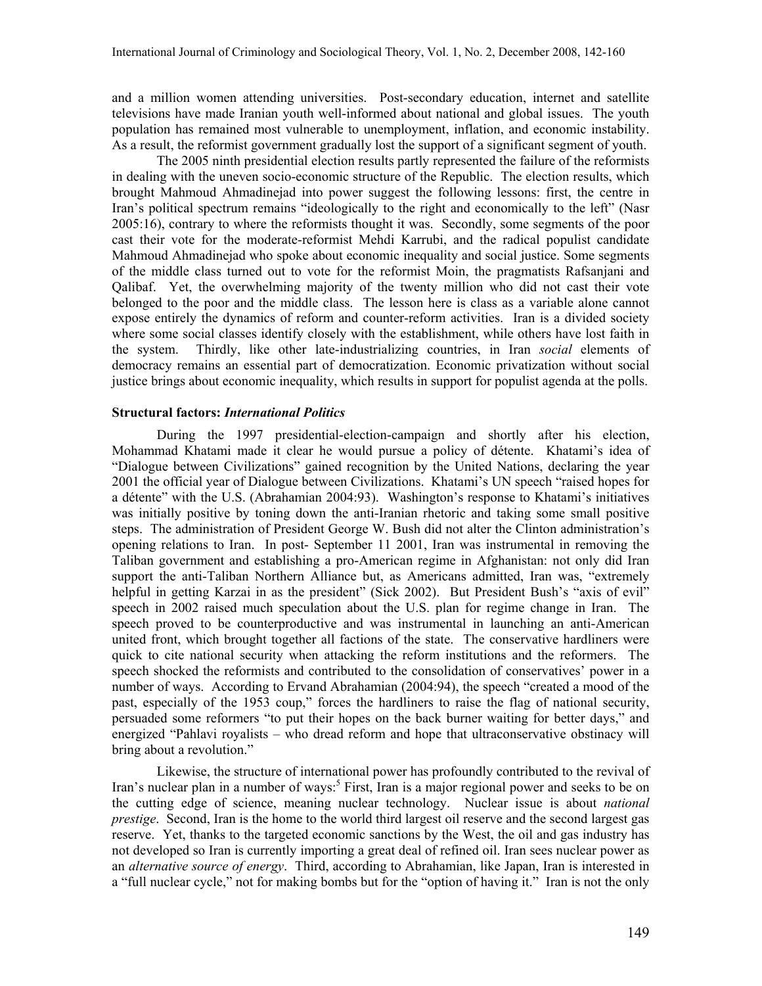and a million women attending universities. Post-secondary education, internet and satellite televisions have made Iranian youth well-informed about national and global issues. The youth population has remained most vulnerable to unemployment, inflation, and economic instability. As a result, the reformist government gradually lost the support of a significant segment of youth.

The 2005 ninth presidential election results partly represented the failure of the reformists in dealing with the uneven socio-economic structure of the Republic. The election results, which brought Mahmoud Ahmadinejad into power suggest the following lessons: first, the centre in Iran's political spectrum remains "ideologically to the right and economically to the left" (Nasr 2005:16), contrary to where the reformists thought it was. Secondly, some segments of the poor cast their vote for the moderate-reformist Mehdi Karrubi, and the radical populist candidate Mahmoud Ahmadinejad who spoke about economic inequality and social justice. Some segments of the middle class turned out to vote for the reformist Moin, the pragmatists Rafsanjani and Qalibaf. Yet, the overwhelming majority of the twenty million who did not cast their vote belonged to the poor and the middle class. The lesson here is class as a variable alone cannot expose entirely the dynamics of reform and counter-reform activities. Iran is a divided society where some social classes identify closely with the establishment, while others have lost faith in the system. Thirdly, like other late-industrializing countries, in Iran social elements of democracy remains an essential part of democratization. Economic privatization without social justice brings about economic inequality, which results in support for populist agenda at the polls.

# Structural factors: International Politics

During the 1997 presidential-election-campaign and shortly after his election, Mohammad Khatami made it clear he would pursue a policy of détente. Khatami's idea of "Dialogue between Civilizations" gained recognition by the United Nations, declaring the year 2001 the official year of Dialogue between Civilizations. Khatami's UN speech "raised hopes for a détente" with the U.S. (Abrahamian 2004:93). Washington's response to Khatami's initiatives was initially positive by toning down the anti-Iranian rhetoric and taking some small positive steps. The administration of President George W. Bush did not alter the Clinton administration's opening relations to Iran. In post- September 11 2001, Iran was instrumental in removing the Taliban government and establishing a pro-American regime in Afghanistan: not only did Iran support the anti-Taliban Northern Alliance but, as Americans admitted, Iran was, "extremely helpful in getting Karzai in as the president" (Sick 2002). But President Bush's "axis of evil" speech in 2002 raised much speculation about the U.S. plan for regime change in Iran. The speech proved to be counterproductive and was instrumental in launching an anti-American united front, which brought together all factions of the state. The conservative hardliners were quick to cite national security when attacking the reform institutions and the reformers. The speech shocked the reformists and contributed to the consolidation of conservatives' power in a number of ways. According to Ervand Abrahamian (2004:94), the speech "created a mood of the past, especially of the 1953 coup," forces the hardliners to raise the flag of national security, persuaded some reformers "to put their hopes on the back burner waiting for better days," and energized "Pahlavi royalists – who dread reform and hope that ultraconservative obstinacy will bring about a revolution."

Likewise, the structure of international power has profoundly contributed to the revival of Iran's nuclear plan in a number of ways:<sup>5</sup> First, Iran is a major regional power and seeks to be on the cutting edge of science, meaning nuclear technology. Nuclear issue is about *national* prestige. Second, Iran is the home to the world third largest oil reserve and the second largest gas reserve. Yet, thanks to the targeted economic sanctions by the West, the oil and gas industry has not developed so Iran is currently importing a great deal of refined oil. Iran sees nuclear power as an *alternative source of energy*. Third, according to Abrahamian, like Japan, Iran is interested in a "full nuclear cycle," not for making bombs but for the "option of having it." Iran is not the only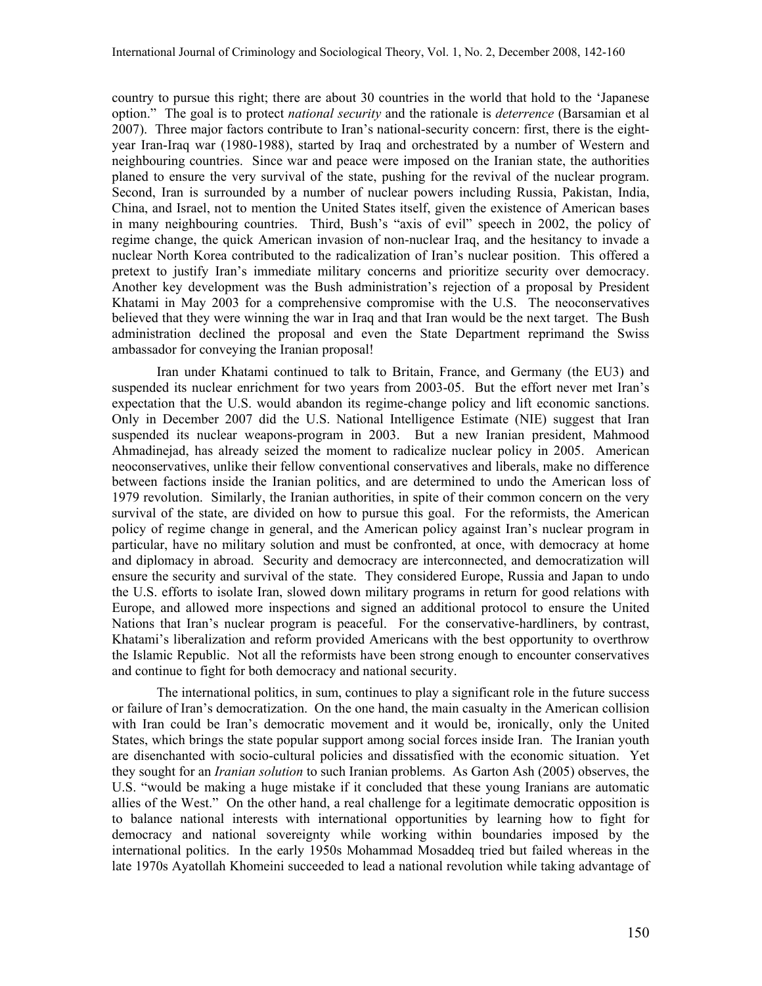country to pursue this right; there are about 30 countries in the world that hold to the 'Japanese option." The goal is to protect *national security* and the rationale is *deterrence* (Barsamian et al 2007). Three major factors contribute to Iran's national-security concern: first, there is the eightyear Iran-Iraq war (1980-1988), started by Iraq and orchestrated by a number of Western and neighbouring countries. Since war and peace were imposed on the Iranian state, the authorities planed to ensure the very survival of the state, pushing for the revival of the nuclear program. Second, Iran is surrounded by a number of nuclear powers including Russia, Pakistan, India, China, and Israel, not to mention the United States itself, given the existence of American bases in many neighbouring countries. Third, Bush's "axis of evil" speech in 2002, the policy of regime change, the quick American invasion of non-nuclear Iraq, and the hesitancy to invade a nuclear North Korea contributed to the radicalization of Iran's nuclear position. This offered a pretext to justify Iran's immediate military concerns and prioritize security over democracy. Another key development was the Bush administration's rejection of a proposal by President Khatami in May 2003 for a comprehensive compromise with the U.S. The neoconservatives believed that they were winning the war in Iraq and that Iran would be the next target. The Bush administration declined the proposal and even the State Department reprimand the Swiss ambassador for conveying the Iranian proposal!

Iran under Khatami continued to talk to Britain, France, and Germany (the EU3) and suspended its nuclear enrichment for two years from 2003-05. But the effort never met Iran's expectation that the U.S. would abandon its regime-change policy and lift economic sanctions. Only in December 2007 did the U.S. National Intelligence Estimate (NIE) suggest that Iran suspended its nuclear weapons-program in 2003. But a new Iranian president, Mahmood Ahmadinejad, has already seized the moment to radicalize nuclear policy in 2005. American neoconservatives, unlike their fellow conventional conservatives and liberals, make no difference between factions inside the Iranian politics, and are determined to undo the American loss of 1979 revolution. Similarly, the Iranian authorities, in spite of their common concern on the very survival of the state, are divided on how to pursue this goal. For the reformists, the American policy of regime change in general, and the American policy against Iran's nuclear program in particular, have no military solution and must be confronted, at once, with democracy at home and diplomacy in abroad. Security and democracy are interconnected, and democratization will ensure the security and survival of the state. They considered Europe, Russia and Japan to undo the U.S. efforts to isolate Iran, slowed down military programs in return for good relations with Europe, and allowed more inspections and signed an additional protocol to ensure the United Nations that Iran's nuclear program is peaceful. For the conservative-hardliners, by contrast, Khatami's liberalization and reform provided Americans with the best opportunity to overthrow the Islamic Republic. Not all the reformists have been strong enough to encounter conservatives and continue to fight for both democracy and national security.

The international politics, in sum, continues to play a significant role in the future success or failure of Iran's democratization. On the one hand, the main casualty in the American collision with Iran could be Iran's democratic movement and it would be, ironically, only the United States, which brings the state popular support among social forces inside Iran. The Iranian youth are disenchanted with socio-cultural policies and dissatisfied with the economic situation. Yet they sought for an Iranian solution to such Iranian problems. As Garton Ash (2005) observes, the U.S. "would be making a huge mistake if it concluded that these young Iranians are automatic allies of the West." On the other hand, a real challenge for a legitimate democratic opposition is to balance national interests with international opportunities by learning how to fight for democracy and national sovereignty while working within boundaries imposed by the international politics. In the early 1950s Mohammad Mosaddeq tried but failed whereas in the late 1970s Ayatollah Khomeini succeeded to lead a national revolution while taking advantage of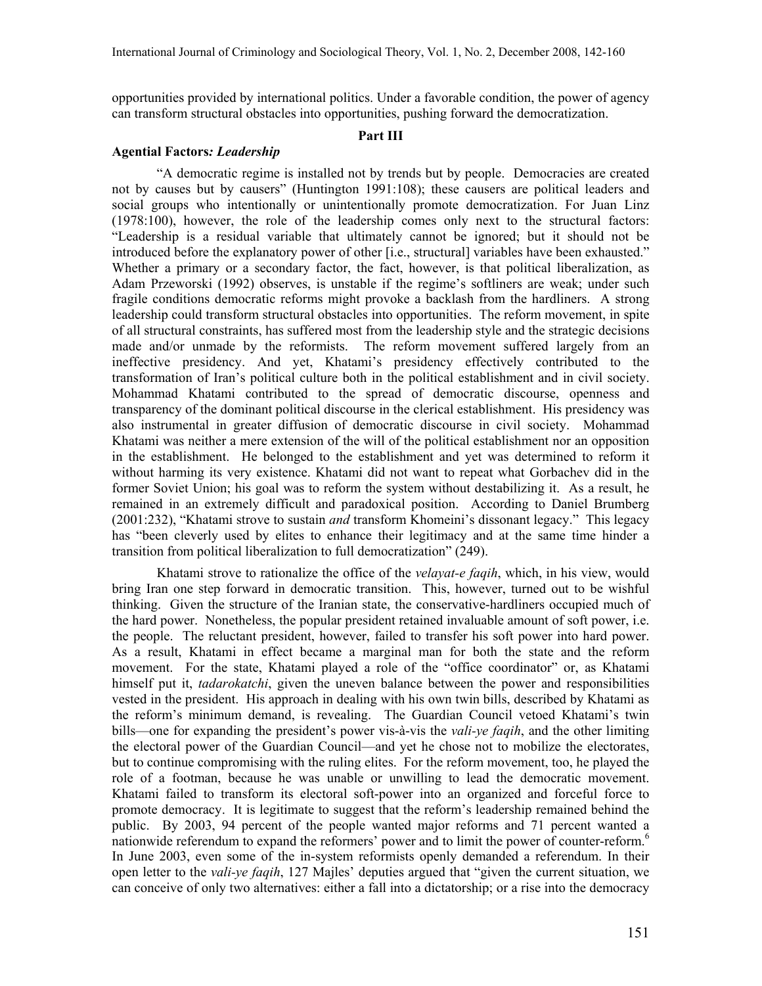opportunities provided by international politics. Under a favorable condition, the power of agency can transform structural obstacles into opportunities, pushing forward the democratization.

#### Part III

## Agential Factors: Leadership

"A democratic regime is installed not by trends but by people. Democracies are created not by causes but by causers" (Huntington 1991:108); these causers are political leaders and social groups who intentionally or unintentionally promote democratization. For Juan Linz (1978:100), however, the role of the leadership comes only next to the structural factors: "Leadership is a residual variable that ultimately cannot be ignored; but it should not be introduced before the explanatory power of other [i.e., structural] variables have been exhausted." Whether a primary or a secondary factor, the fact, however, is that political liberalization, as Adam Przeworski (1992) observes, is unstable if the regime's softliners are weak; under such fragile conditions democratic reforms might provoke a backlash from the hardliners. A strong leadership could transform structural obstacles into opportunities. The reform movement, in spite of all structural constraints, has suffered most from the leadership style and the strategic decisions made and/or unmade by the reformists. The reform movement suffered largely from an ineffective presidency. And yet, Khatami's presidency effectively contributed to the transformation of Iran's political culture both in the political establishment and in civil society. Mohammad Khatami contributed to the spread of democratic discourse, openness and transparency of the dominant political discourse in the clerical establishment. His presidency was also instrumental in greater diffusion of democratic discourse in civil society. Mohammad Khatami was neither a mere extension of the will of the political establishment nor an opposition in the establishment. He belonged to the establishment and yet was determined to reform it without harming its very existence. Khatami did not want to repeat what Gorbachev did in the former Soviet Union; his goal was to reform the system without destabilizing it. As a result, he remained in an extremely difficult and paradoxical position. According to Daniel Brumberg (2001:232), "Khatami strove to sustain *and* transform Khomeini's dissonant legacy." This legacy has "been cleverly used by elites to enhance their legitimacy and at the same time hinder a transition from political liberalization to full democratization" (249).

Khatami strove to rationalize the office of the *velayat-e faqih*, which, in his view, would bring Iran one step forward in democratic transition. This, however, turned out to be wishful thinking. Given the structure of the Iranian state, the conservative-hardliners occupied much of the hard power. Nonetheless, the popular president retained invaluable amount of soft power, i.e. the people. The reluctant president, however, failed to transfer his soft power into hard power. As a result, Khatami in effect became a marginal man for both the state and the reform movement. For the state, Khatami played a role of the "office coordinator" or, as Khatami himself put it, *tadarokatchi*, given the uneven balance between the power and responsibilities vested in the president. His approach in dealing with his own twin bills, described by Khatami as the reform's minimum demand, is revealing. The Guardian Council vetoed Khatami's twin bills—one for expanding the president's power vis-à-vis the *vali-ye faqih*, and the other limiting the electoral power of the Guardian Council—and yet he chose not to mobilize the electorates, but to continue compromising with the ruling elites. For the reform movement, too, he played the role of a footman, because he was unable or unwilling to lead the democratic movement. Khatami failed to transform its electoral soft-power into an organized and forceful force to promote democracy. It is legitimate to suggest that the reform's leadership remained behind the public. By 2003, 94 percent of the people wanted major reforms and 71 percent wanted a nationwide referendum to expand the reformers' power and to limit the power of counter-reform.<sup>6</sup> In June 2003, even some of the in-system reformists openly demanded a referendum. In their open letter to the *vali-ye faqih*, 127 Majles' deputies argued that "given the current situation, we can conceive of only two alternatives: either a fall into a dictatorship; or a rise into the democracy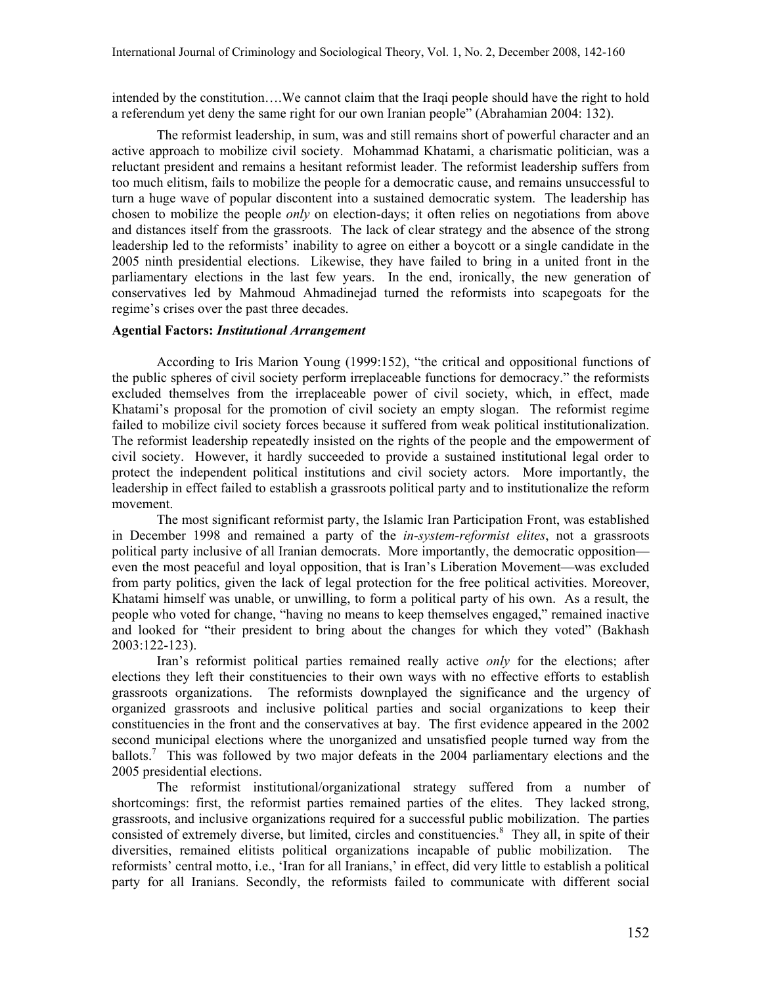intended by the constitution….We cannot claim that the Iraqi people should have the right to hold a referendum yet deny the same right for our own Iranian people" (Abrahamian 2004: 132).

The reformist leadership, in sum, was and still remains short of powerful character and an active approach to mobilize civil society. Mohammad Khatami, a charismatic politician, was a reluctant president and remains a hesitant reformist leader. The reformist leadership suffers from too much elitism, fails to mobilize the people for a democratic cause, and remains unsuccessful to turn a huge wave of popular discontent into a sustained democratic system. The leadership has chosen to mobilize the people *only* on election-days; it often relies on negotiations from above and distances itself from the grassroots. The lack of clear strategy and the absence of the strong leadership led to the reformists' inability to agree on either a boycott or a single candidate in the 2005 ninth presidential elections. Likewise, they have failed to bring in a united front in the parliamentary elections in the last few years. In the end, ironically, the new generation of conservatives led by Mahmoud Ahmadinejad turned the reformists into scapegoats for the regime's crises over the past three decades.

# Agential Factors: Institutional Arrangement

According to Iris Marion Young (1999:152), "the critical and oppositional functions of the public spheres of civil society perform irreplaceable functions for democracy." the reformists excluded themselves from the irreplaceable power of civil society, which, in effect, made Khatami's proposal for the promotion of civil society an empty slogan. The reformist regime failed to mobilize civil society forces because it suffered from weak political institutionalization. The reformist leadership repeatedly insisted on the rights of the people and the empowerment of civil society. However, it hardly succeeded to provide a sustained institutional legal order to protect the independent political institutions and civil society actors. More importantly, the leadership in effect failed to establish a grassroots political party and to institutionalize the reform movement.

The most significant reformist party, the Islamic Iran Participation Front, was established in December 1998 and remained a party of the in-system-reformist elites, not a grassroots political party inclusive of all Iranian democrats. More importantly, the democratic opposition even the most peaceful and loyal opposition, that is Iran's Liberation Movement—was excluded from party politics, given the lack of legal protection for the free political activities. Moreover, Khatami himself was unable, or unwilling, to form a political party of his own. As a result, the people who voted for change, "having no means to keep themselves engaged," remained inactive and looked for "their president to bring about the changes for which they voted" (Bakhash 2003:122-123).

Iran's reformist political parties remained really active *only* for the elections; after elections they left their constituencies to their own ways with no effective efforts to establish grassroots organizations. The reformists downplayed the significance and the urgency of organized grassroots and inclusive political parties and social organizations to keep their constituencies in the front and the conservatives at bay. The first evidence appeared in the 2002 second municipal elections where the unorganized and unsatisfied people turned way from the ballots.<sup>7</sup> This was followed by two major defeats in the 2004 parliamentary elections and the 2005 presidential elections.

The reformist institutional/organizational strategy suffered from a number of shortcomings: first, the reformist parties remained parties of the elites. They lacked strong, grassroots, and inclusive organizations required for a successful public mobilization. The parties consisted of extremely diverse, but limited, circles and constituencies.<sup>8</sup> They all, in spite of their diversities, remained elitists political organizations incapable of public mobilization. The reformists' central motto, i.e., 'Iran for all Iranians,' in effect, did very little to establish a political party for all Iranians. Secondly, the reformists failed to communicate with different social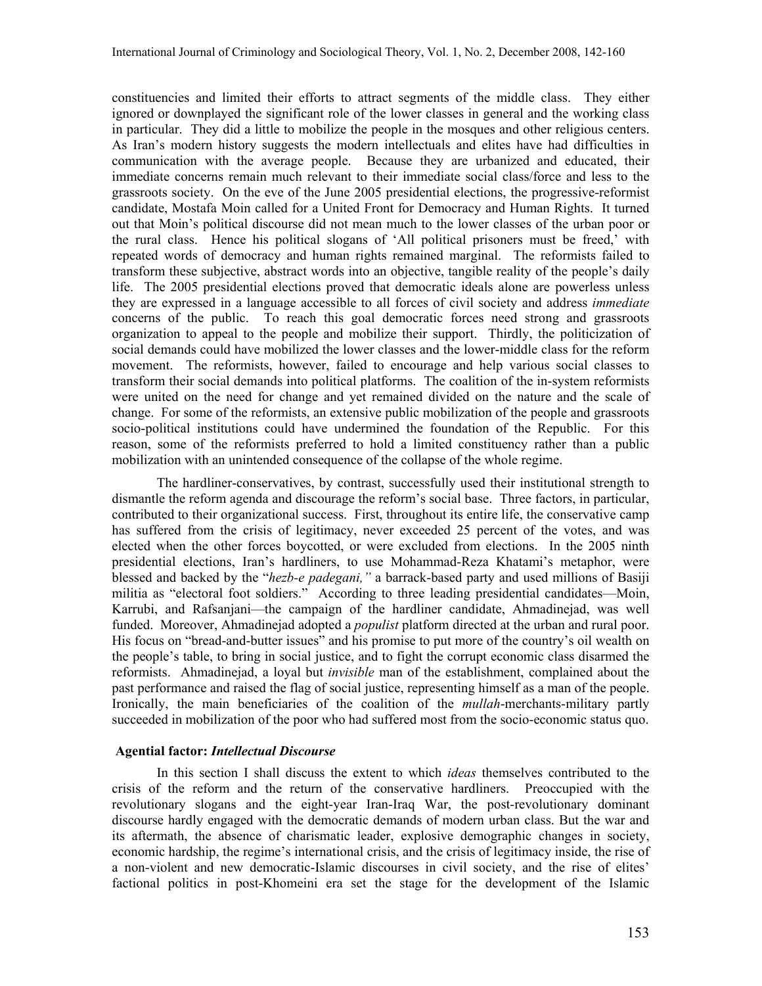constituencies and limited their efforts to attract segments of the middle class. They either ignored or downplayed the significant role of the lower classes in general and the working class in particular. They did a little to mobilize the people in the mosques and other religious centers. As Iran's modern history suggests the modern intellectuals and elites have had difficulties in communication with the average people. Because they are urbanized and educated, their immediate concerns remain much relevant to their immediate social class/force and less to the grassroots society. On the eve of the June 2005 presidential elections, the progressive-reformist candidate, Mostafa Moin called for a United Front for Democracy and Human Rights. It turned out that Moin's political discourse did not mean much to the lower classes of the urban poor or the rural class. Hence his political slogans of 'All political prisoners must be freed,' with repeated words of democracy and human rights remained marginal. The reformists failed to transform these subjective, abstract words into an objective, tangible reality of the people's daily life. The 2005 presidential elections proved that democratic ideals alone are powerless unless they are expressed in a language accessible to all forces of civil society and address immediate concerns of the public. To reach this goal democratic forces need strong and grassroots organization to appeal to the people and mobilize their support. Thirdly, the politicization of social demands could have mobilized the lower classes and the lower-middle class for the reform movement. The reformists, however, failed to encourage and help various social classes to transform their social demands into political platforms. The coalition of the in-system reformists were united on the need for change and yet remained divided on the nature and the scale of change. For some of the reformists, an extensive public mobilization of the people and grassroots socio-political institutions could have undermined the foundation of the Republic. For this reason, some of the reformists preferred to hold a limited constituency rather than a public mobilization with an unintended consequence of the collapse of the whole regime.

The hardliner-conservatives, by contrast, successfully used their institutional strength to dismantle the reform agenda and discourage the reform's social base. Three factors, in particular, contributed to their organizational success. First, throughout its entire life, the conservative camp has suffered from the crisis of legitimacy, never exceeded 25 percent of the votes, and was elected when the other forces boycotted, or were excluded from elections. In the 2005 ninth presidential elections, Iran's hardliners, to use Mohammad-Reza Khatami's metaphor, were blessed and backed by the "hezb-e padegani," a barrack-based party and used millions of Basiji militia as "electoral foot soldiers." According to three leading presidential candidates—Moin, Karrubi, and Rafsanjani—the campaign of the hardliner candidate, Ahmadinejad, was well funded. Moreover, Ahmadinejad adopted a *populist* platform directed at the urban and rural poor. His focus on "bread-and-butter issues" and his promise to put more of the country's oil wealth on the people's table, to bring in social justice, and to fight the corrupt economic class disarmed the reformists. Ahmadinejad, a loyal but *invisible* man of the establishment, complained about the past performance and raised the flag of social justice, representing himself as a man of the people. Ironically, the main beneficiaries of the coalition of the mullah-merchants-military partly succeeded in mobilization of the poor who had suffered most from the socio-economic status quo.

# Agential factor: Intellectual Discourse

In this section I shall discuss the extent to which *ideas* themselves contributed to the crisis of the reform and the return of the conservative hardliners. Preoccupied with the revolutionary slogans and the eight-year Iran-Iraq War, the post-revolutionary dominant discourse hardly engaged with the democratic demands of modern urban class. But the war and its aftermath, the absence of charismatic leader, explosive demographic changes in society, economic hardship, the regime's international crisis, and the crisis of legitimacy inside, the rise of a non-violent and new democratic-Islamic discourses in civil society, and the rise of elites' factional politics in post-Khomeini era set the stage for the development of the Islamic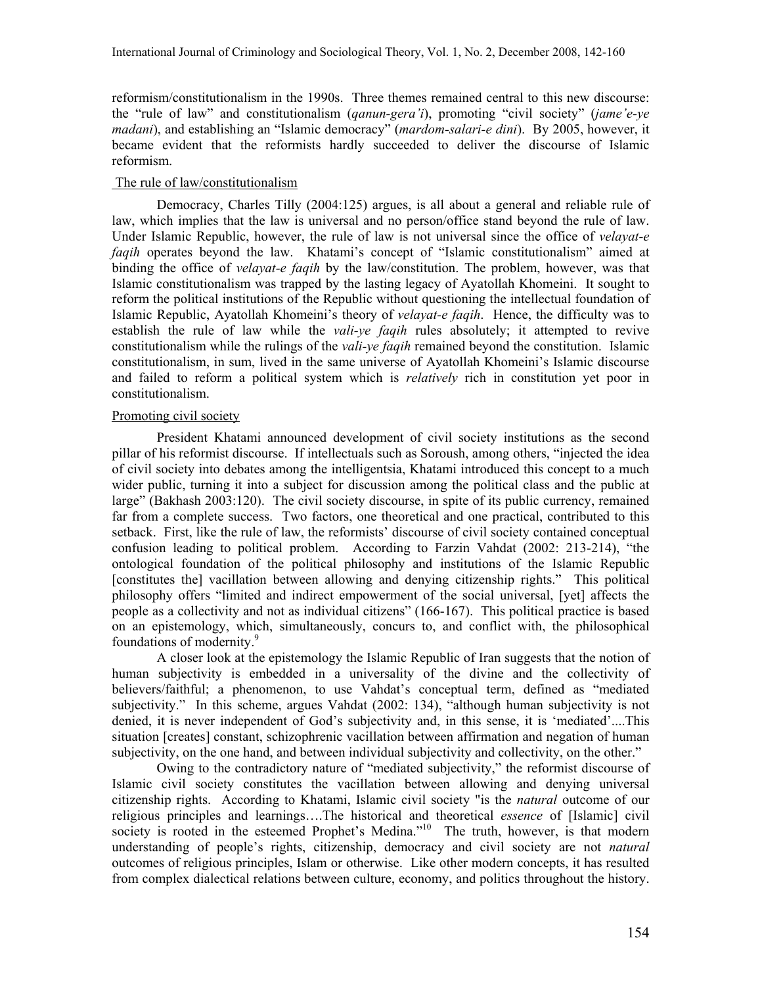reformism/constitutionalism in the 1990s. Three themes remained central to this new discourse: the "rule of law" and constitutionalism  $(qanun\text{-}gera'i)$ , promoting "civil society" (jame'e-ye madani), and establishing an "Islamic democracy" (mardom-salari-e dini). By 2005, however, it became evident that the reformists hardly succeeded to deliver the discourse of Islamic reformism.

# The rule of law/constitutionalism

Democracy, Charles Tilly (2004:125) argues, is all about a general and reliable rule of law, which implies that the law is universal and no person/office stand beyond the rule of law. Under Islamic Republic, however, the rule of law is not universal since the office of velavat-e faqih operates beyond the law. Khatami's concept of "Islamic constitutionalism" aimed at binding the office of *velayat-e faqih* by the law/constitution. The problem, however, was that Islamic constitutionalism was trapped by the lasting legacy of Ayatollah Khomeini. It sought to reform the political institutions of the Republic without questioning the intellectual foundation of Islamic Republic, Ayatollah Khomeini's theory of *velayat-e faqih*. Hence, the difficulty was to establish the rule of law while the *vali-ye faqih* rules absolutely; it attempted to revive constitutionalism while the rulings of the *vali-ye faqih* remained beyond the constitution. Islamic constitutionalism, in sum, lived in the same universe of Ayatollah Khomeini's Islamic discourse and failed to reform a political system which is *relatively* rich in constitution yet poor in constitutionalism.

# Promoting civil society

President Khatami announced development of civil society institutions as the second pillar of his reformist discourse. If intellectuals such as Soroush, among others, "injected the idea of civil society into debates among the intelligentsia, Khatami introduced this concept to a much wider public, turning it into a subject for discussion among the political class and the public at large" (Bakhash 2003:120). The civil society discourse, in spite of its public currency, remained far from a complete success. Two factors, one theoretical and one practical, contributed to this setback. First, like the rule of law, the reformists' discourse of civil society contained conceptual confusion leading to political problem. According to Farzin Vahdat (2002: 213-214), "the ontological foundation of the political philosophy and institutions of the Islamic Republic [constitutes the] vacillation between allowing and denying citizenship rights." This political philosophy offers "limited and indirect empowerment of the social universal, [yet] affects the people as a collectivity and not as individual citizens" (166-167). This political practice is based on an epistemology, which, simultaneously, concurs to, and conflict with, the philosophical foundations of modernity.<sup>9</sup>

A closer look at the epistemology the Islamic Republic of Iran suggests that the notion of human subjectivity is embedded in a universality of the divine and the collectivity of believers/faithful; a phenomenon, to use Vahdat's conceptual term, defined as "mediated subjectivity." In this scheme, argues Vahdat (2002: 134), "although human subjectivity is not denied, it is never independent of God's subjectivity and, in this sense, it is 'mediated'....This situation [creates] constant, schizophrenic vacillation between affirmation and negation of human subjectivity, on the one hand, and between individual subjectivity and collectivity, on the other."

Owing to the contradictory nature of "mediated subjectivity," the reformist discourse of Islamic civil society constitutes the vacillation between allowing and denying universal citizenship rights. According to Khatami, Islamic civil society "is the natural outcome of our religious principles and learnings….The historical and theoretical essence of [Islamic] civil society is rooted in the esteemed Prophet's Medina."<sup>10</sup> The truth, however, is that modern understanding of people's rights, citizenship, democracy and civil society are not *natural* outcomes of religious principles, Islam or otherwise. Like other modern concepts, it has resulted from complex dialectical relations between culture, economy, and politics throughout the history.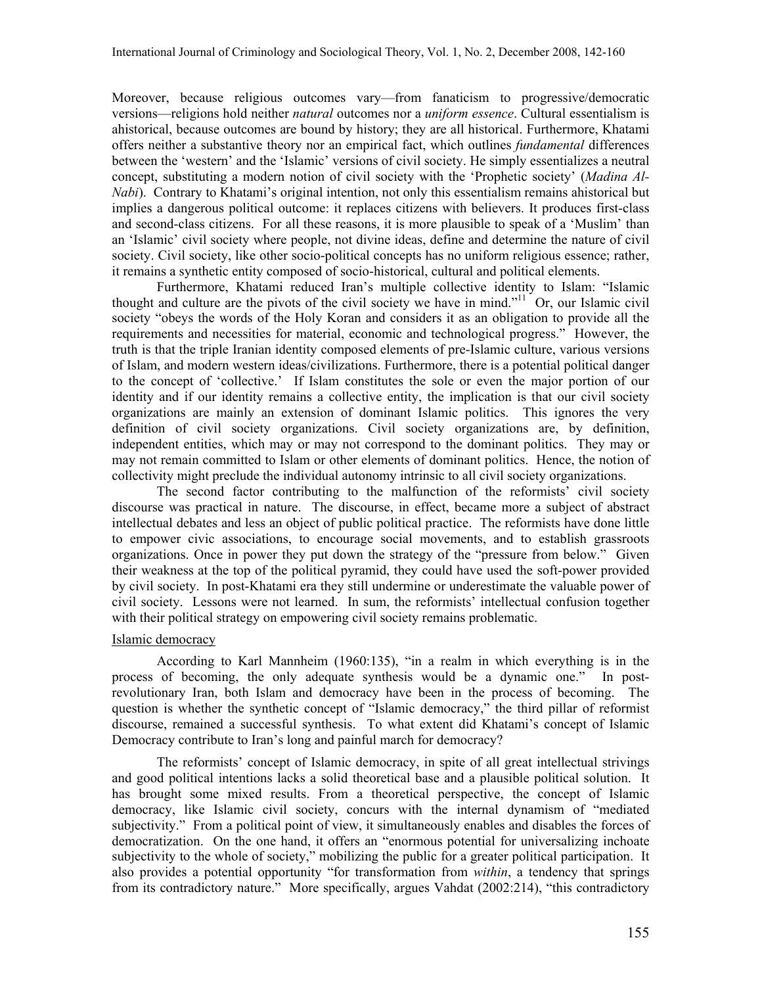Moreover, because religious outcomes vary—from fanaticism to progressive/democratic versions—religions hold neither natural outcomes nor a uniform essence. Cultural essentialism is ahistorical, because outcomes are bound by history; they are all historical. Furthermore, Khatami offers neither a substantive theory nor an empirical fact, which outlines fundamental differences between the 'western' and the 'Islamic' versions of civil society. He simply essentializes a neutral concept, substituting a modern notion of civil society with the 'Prophetic society' (Madina Al-Nabi). Contrary to Khatami's original intention, not only this essentialism remains ahistorical but implies a dangerous political outcome: it replaces citizens with believers. It produces first-class and second-class citizens. For all these reasons, it is more plausible to speak of a 'Muslim' than an 'Islamic' civil society where people, not divine ideas, define and determine the nature of civil society. Civil society, like other socio-political concepts has no uniform religious essence; rather, it remains a synthetic entity composed of socio-historical, cultural and political elements.

Furthermore, Khatami reduced Iran's multiple collective identity to Islam: "Islamic thought and culture are the pivots of the civil society we have in mind."<sup>11</sup> Or, our Islamic civil society "obeys the words of the Holy Koran and considers it as an obligation to provide all the requirements and necessities for material, economic and technological progress." However, the truth is that the triple Iranian identity composed elements of pre-Islamic culture, various versions of Islam, and modern western ideas/civilizations. Furthermore, there is a potential political danger to the concept of 'collective.' If Islam constitutes the sole or even the major portion of our identity and if our identity remains a collective entity, the implication is that our civil society organizations are mainly an extension of dominant Islamic politics. This ignores the very definition of civil society organizations. Civil society organizations are, by definition, independent entities, which may or may not correspond to the dominant politics. They may or may not remain committed to Islam or other elements of dominant politics. Hence, the notion of collectivity might preclude the individual autonomy intrinsic to all civil society organizations.

The second factor contributing to the malfunction of the reformists' civil society discourse was practical in nature. The discourse, in effect, became more a subject of abstract intellectual debates and less an object of public political practice. The reformists have done little to empower civic associations, to encourage social movements, and to establish grassroots organizations. Once in power they put down the strategy of the "pressure from below." Given their weakness at the top of the political pyramid, they could have used the soft-power provided by civil society. In post-Khatami era they still undermine or underestimate the valuable power of civil society. Lessons were not learned. In sum, the reformists' intellectual confusion together with their political strategy on empowering civil society remains problematic.

# Islamic democracy

According to Karl Mannheim (1960:135), "in a realm in which everything is in the process of becoming, the only adequate synthesis would be a dynamic one." In postrevolutionary Iran, both Islam and democracy have been in the process of becoming. The question is whether the synthetic concept of "Islamic democracy," the third pillar of reformist discourse, remained a successful synthesis. To what extent did Khatami's concept of Islamic Democracy contribute to Iran's long and painful march for democracy?

The reformists' concept of Islamic democracy, in spite of all great intellectual strivings and good political intentions lacks a solid theoretical base and a plausible political solution. It has brought some mixed results. From a theoretical perspective, the concept of Islamic democracy, like Islamic civil society, concurs with the internal dynamism of "mediated subjectivity." From a political point of view, it simultaneously enables and disables the forces of democratization. On the one hand, it offers an "enormous potential for universalizing inchoate subjectivity to the whole of society," mobilizing the public for a greater political participation. It also provides a potential opportunity "for transformation from *within*, a tendency that springs from its contradictory nature." More specifically, argues Vahdat (2002:214), "this contradictory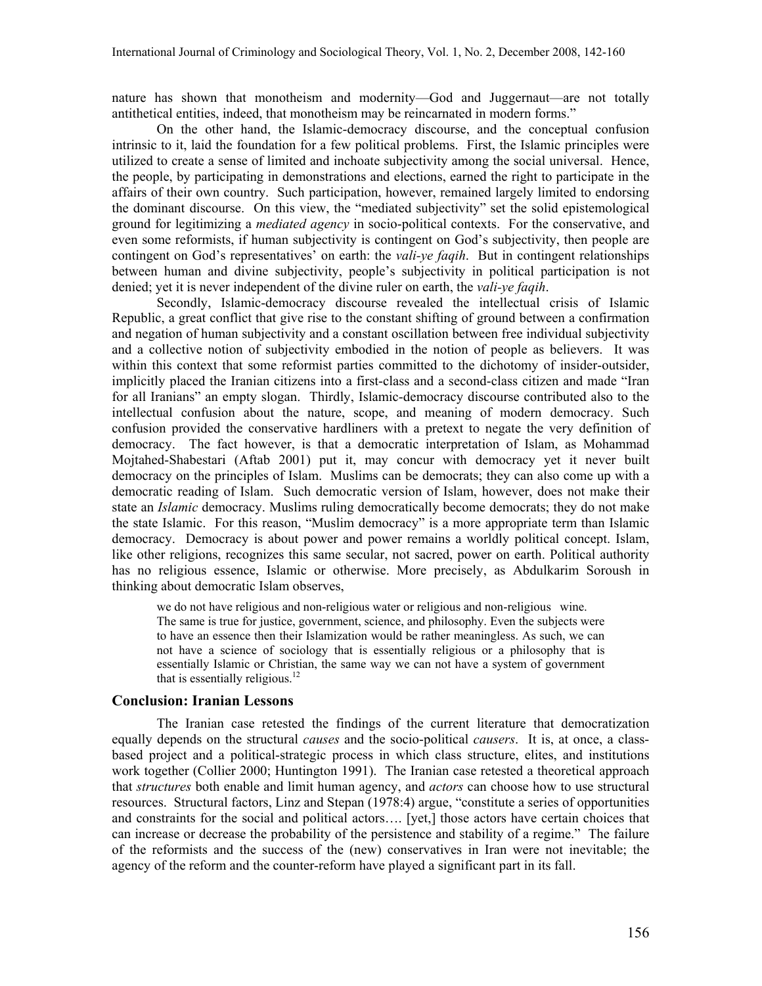nature has shown that monotheism and modernity—God and Juggernaut—are not totally antithetical entities, indeed, that monotheism may be reincarnated in modern forms."

On the other hand, the Islamic-democracy discourse, and the conceptual confusion intrinsic to it, laid the foundation for a few political problems. First, the Islamic principles were utilized to create a sense of limited and inchoate subjectivity among the social universal. Hence, the people, by participating in demonstrations and elections, earned the right to participate in the affairs of their own country. Such participation, however, remained largely limited to endorsing the dominant discourse. On this view, the "mediated subjectivity" set the solid epistemological ground for legitimizing a *mediated agency* in socio-political contexts. For the conservative, and even some reformists, if human subjectivity is contingent on God's subjectivity, then people are contingent on God's representatives' on earth: the *vali-ye faqih*. But in contingent relationships between human and divine subjectivity, people's subjectivity in political participation is not denied; yet it is never independent of the divine ruler on earth, the *vali-ye faqih*.

Secondly, Islamic-democracy discourse revealed the intellectual crisis of Islamic Republic, a great conflict that give rise to the constant shifting of ground between a confirmation and negation of human subjectivity and a constant oscillation between free individual subjectivity and a collective notion of subjectivity embodied in the notion of people as believers. It was within this context that some reformist parties committed to the dichotomy of insider-outsider, implicitly placed the Iranian citizens into a first-class and a second-class citizen and made "Iran for all Iranians" an empty slogan. Thirdly, Islamic-democracy discourse contributed also to the intellectual confusion about the nature, scope, and meaning of modern democracy. Such confusion provided the conservative hardliners with a pretext to negate the very definition of democracy. The fact however, is that a democratic interpretation of Islam, as Mohammad Mojtahed-Shabestari (Aftab 2001) put it, may concur with democracy yet it never built democracy on the principles of Islam. Muslims can be democrats; they can also come up with a democratic reading of Islam. Such democratic version of Islam, however, does not make their state an *Islamic* democracy. Muslims ruling democratically become democrats; they do not make the state Islamic. For this reason, "Muslim democracy" is a more appropriate term than Islamic democracy. Democracy is about power and power remains a worldly political concept. Islam, like other religions, recognizes this same secular, not sacred, power on earth. Political authority has no religious essence, Islamic or otherwise. More precisely, as Abdulkarim Soroush in thinking about democratic Islam observes,

we do not have religious and non-religious water or religious and non-religious wine. The same is true for justice, government, science, and philosophy. Even the subjects were to have an essence then their Islamization would be rather meaningless. As such, we can not have a science of sociology that is essentially religious or a philosophy that is essentially Islamic or Christian, the same way we can not have a system of government that is essentially religious. $^{12}$ 

# Conclusion: Iranian Lessons

The Iranian case retested the findings of the current literature that democratization equally depends on the structural *causes* and the socio-political *causers*. It is, at once, a classbased project and a political-strategic process in which class structure, elites, and institutions work together (Collier 2000; Huntington 1991). The Iranian case retested a theoretical approach that *structures* both enable and limit human agency, and *actors* can choose how to use structural resources. Structural factors, Linz and Stepan (1978:4) argue, "constitute a series of opportunities and constraints for the social and political actors…. [yet,] those actors have certain choices that can increase or decrease the probability of the persistence and stability of a regime." The failure of the reformists and the success of the (new) conservatives in Iran were not inevitable; the agency of the reform and the counter-reform have played a significant part in its fall.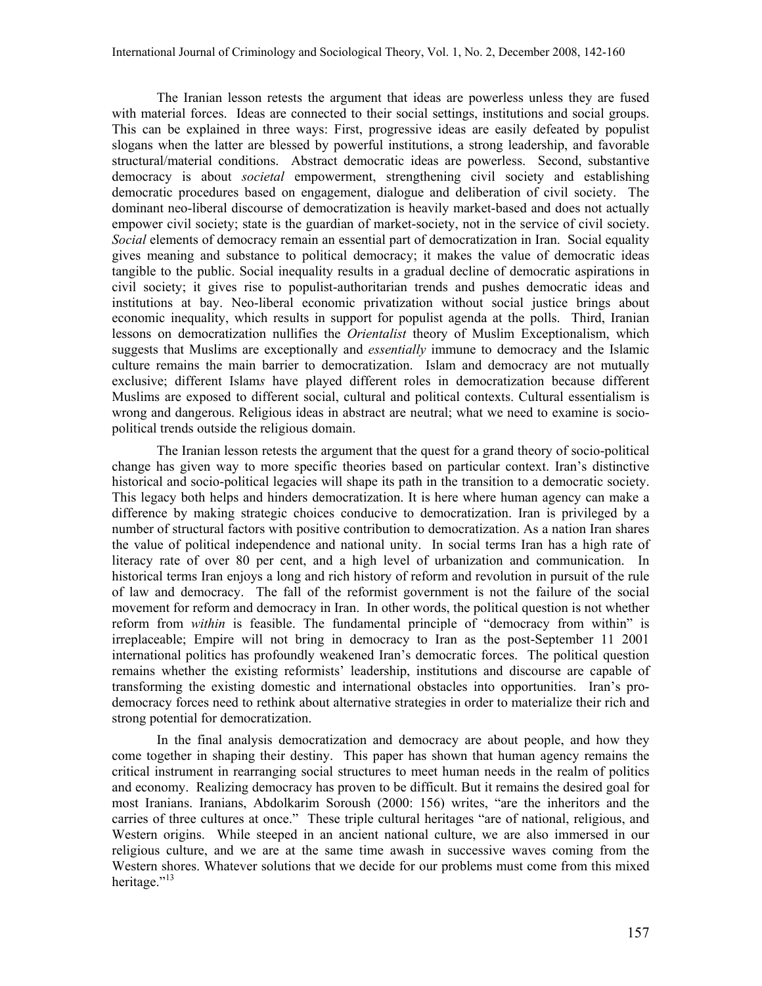The Iranian lesson retests the argument that ideas are powerless unless they are fused with material forces. Ideas are connected to their social settings, institutions and social groups. This can be explained in three ways: First, progressive ideas are easily defeated by populist slogans when the latter are blessed by powerful institutions, a strong leadership, and favorable structural/material conditions. Abstract democratic ideas are powerless. Second, substantive democracy is about *societal* empowerment, strengthening civil society and establishing democratic procedures based on engagement, dialogue and deliberation of civil society. The dominant neo-liberal discourse of democratization is heavily market-based and does not actually empower civil society; state is the guardian of market-society, not in the service of civil society. Social elements of democracy remain an essential part of democratization in Iran. Social equality gives meaning and substance to political democracy; it makes the value of democratic ideas tangible to the public. Social inequality results in a gradual decline of democratic aspirations in civil society; it gives rise to populist-authoritarian trends and pushes democratic ideas and institutions at bay. Neo-liberal economic privatization without social justice brings about economic inequality, which results in support for populist agenda at the polls. Third, Iranian lessons on democratization nullifies the Orientalist theory of Muslim Exceptionalism, which suggests that Muslims are exceptionally and *essentially* immune to democracy and the Islamic culture remains the main barrier to democratization. Islam and democracy are not mutually exclusive; different Islams have played different roles in democratization because different Muslims are exposed to different social, cultural and political contexts. Cultural essentialism is wrong and dangerous. Religious ideas in abstract are neutral; what we need to examine is sociopolitical trends outside the religious domain.

The Iranian lesson retests the argument that the quest for a grand theory of socio-political change has given way to more specific theories based on particular context. Iran's distinctive historical and socio-political legacies will shape its path in the transition to a democratic society. This legacy both helps and hinders democratization. It is here where human agency can make a difference by making strategic choices conducive to democratization. Iran is privileged by a number of structural factors with positive contribution to democratization. As a nation Iran shares the value of political independence and national unity. In social terms Iran has a high rate of literacy rate of over 80 per cent, and a high level of urbanization and communication. In historical terms Iran enjoys a long and rich history of reform and revolution in pursuit of the rule of law and democracy. The fall of the reformist government is not the failure of the social movement for reform and democracy in Iran. In other words, the political question is not whether reform from *within* is feasible. The fundamental principle of "democracy from within" is irreplaceable; Empire will not bring in democracy to Iran as the post-September 11 2001 international politics has profoundly weakened Iran's democratic forces. The political question remains whether the existing reformists' leadership, institutions and discourse are capable of transforming the existing domestic and international obstacles into opportunities. Iran's prodemocracy forces need to rethink about alternative strategies in order to materialize their rich and strong potential for democratization.

In the final analysis democratization and democracy are about people, and how they come together in shaping their destiny. This paper has shown that human agency remains the critical instrument in rearranging social structures to meet human needs in the realm of politics and economy. Realizing democracy has proven to be difficult. But it remains the desired goal for most Iranians. Iranians, Abdolkarim Soroush (2000: 156) writes, "are the inheritors and the carries of three cultures at once." These triple cultural heritages "are of national, religious, and Western origins. While steeped in an ancient national culture, we are also immersed in our religious culture, and we are at the same time awash in successive waves coming from the Western shores. Whatever solutions that we decide for our problems must come from this mixed heritage."<sup>13</sup>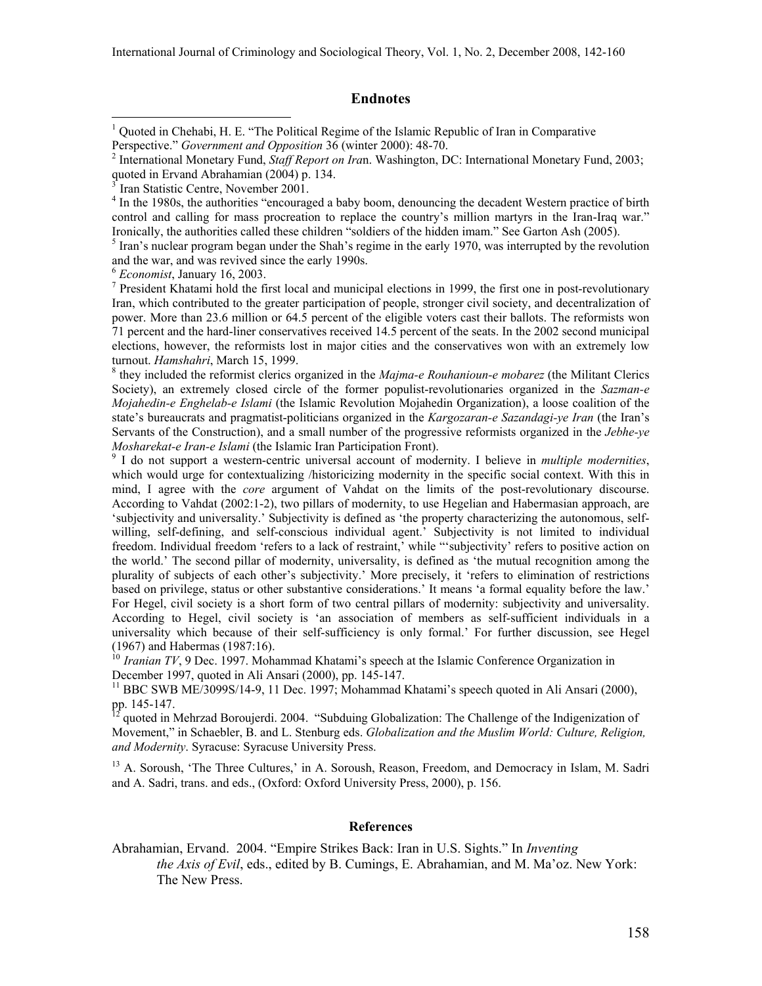# Endnotes

<sup>4</sup> In the 1980s, the authorities "encouraged a baby boom, denouncing the decadent Western practice of birth control and calling for mass procreation to replace the country's million martyrs in the Iran-Iraq war." Ironically, the authorities called these children "soldiers of the hidden imam." See Garton Ash (2005).

 $<sup>5</sup>$  Iran's nuclear program began under the Shah's regime in the early 1970, was interrupted by the revolution</sup> and the war, and was revived since the early 1990s.

<sup>7</sup> President Khatami hold the first local and municipal elections in 1999, the first one in post-revolutionary Iran, which contributed to the greater participation of people, stronger civil society, and decentralization of power. More than 23.6 million or 64.5 percent of the eligible voters cast their ballots. The reformists won 71 percent and the hard-liner conservatives received 14.5 percent of the seats. In the 2002 second municipal elections, however, the reformists lost in major cities and the conservatives won with an extremely low turnout. Hamshahri, March 15, 1999.

 $8$  they included the reformist clerics organized in the Majma-e Rouhanioun-e mobarez (the Militant Clerics Society), an extremely closed circle of the former populist-revolutionaries organized in the Sazman-e Mojahedin-e Enghelab-e Islami (the Islamic Revolution Mojahedin Organization), a loose coalition of the state's bureaucrats and pragmatist-politicians organized in the Kargozaran-e Sazandagi-ye Iran (the Iran's Servants of the Construction), and a small number of the progressive reformists organized in the Jebhe-ye Mosharekat-e Iran-e Islami (the Islamic Iran Participation Front).

<sup>9</sup> I do not support a western-centric universal account of modernity. I believe in *multiple modernities*, which would urge for contextualizing /historicizing modernity in the specific social context. With this in mind, I agree with the *core* argument of Vahdat on the limits of the post-revolutionary discourse. According to Vahdat (2002:1-2), two pillars of modernity, to use Hegelian and Habermasian approach, are 'subjectivity and universality.' Subjectivity is defined as 'the property characterizing the autonomous, selfwilling, self-defining, and self-conscious individual agent.' Subjectivity is not limited to individual freedom. Individual freedom 'refers to a lack of restraint,' while "'subjectivity' refers to positive action on the world.' The second pillar of modernity, universality, is defined as 'the mutual recognition among the plurality of subjects of each other's subjectivity.' More precisely, it 'refers to elimination of restrictions based on privilege, status or other substantive considerations.' It means 'a formal equality before the law.' For Hegel, civil society is a short form of two central pillars of modernity: subjectivity and universality. According to Hegel, civil society is 'an association of members as self-sufficient individuals in a universality which because of their self-sufficiency is only formal.' For further discussion, see Hegel (1967) and Habermas (1987:16).

 $10$  Iranian TV, 9 Dec. 1997. Mohammad Khatami's speech at the Islamic Conference Organization in December 1997, quoted in Ali Ansari (2000), pp. 145-147.

<sup>11</sup> BBC SWB ME/3099S/14-9, 11 Dec. 1997; Mohammad Khatami's speech quoted in Ali Ansari (2000), pp. 145-147.

 $12$  quoted in Mehrzad Boroujerdi. 2004. "Subduing Globalization: The Challenge of the Indigenization of Movement," in Schaebler, B. and L. Stenburg eds. Globalization and the Muslim World: Culture, Religion, and Modernity. Syracuse: Syracuse University Press.

<sup>13</sup> A. Soroush, 'The Three Cultures,' in A. Soroush, Reason, Freedom, and Democracy in Islam, M. Sadri and A. Sadri, trans. and eds., (Oxford: Oxford University Press, 2000), p. 156.

#### References

Abrahamian, Ervand. 2004. "Empire Strikes Back: Iran in U.S. Sights." In Inventing the Axis of Evil, eds., edited by B. Cumings, E. Abrahamian, and M. Ma'oz. New York: The New Press.

 1 Quoted in Chehabi, H. E. "The Political Regime of the Islamic Republic of Iran in Comparative Perspective." Government and Opposition 36 (winter 2000): 48-70.

<sup>&</sup>lt;sup>2</sup> International Monetary Fund, Staff Report on Iran. Washington, DC: International Monetary Fund, 2003; quoted in Ervand Abrahamian (2004) p. 134.

<sup>3</sup> Iran Statistic Centre, November 2001.

 $6$  *Economist*, January 16, 2003.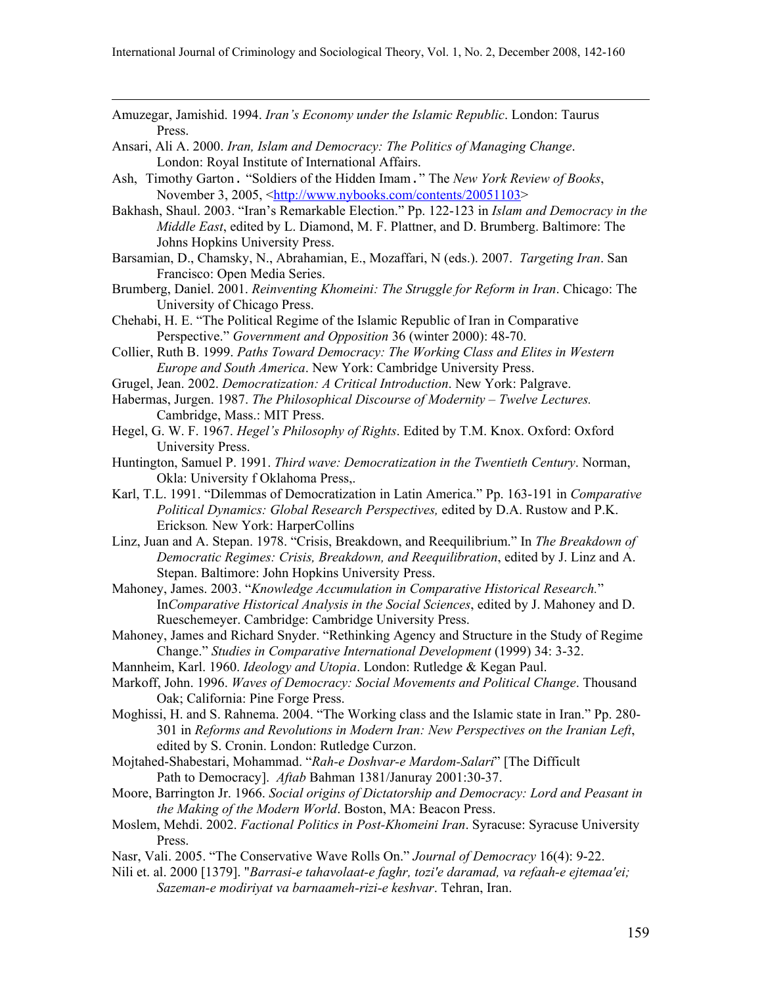- Amuzegar, Jamishid. 1994. Iran's Economy under the Islamic Republic. London: Taurus Press.
- Ansari, Ali A. 2000. Iran, Islam and Democracy: The Politics of Managing Change. London: Royal Institute of International Affairs.

 $\overline{a}$ 

- Ash, Timothy Garton. "Soldiers of the Hidden Imam." The New York Review of Books, November 3, 2005, <http://www.nybooks.com/contents/20051103>
- Bakhash, Shaul. 2003. "Iran's Remarkable Election." Pp. 122-123 in Islam and Democracy in the Middle East, edited by L. Diamond, M. F. Plattner, and D. Brumberg. Baltimore: The Johns Hopkins University Press.
- Barsamian, D., Chamsky, N., Abrahamian, E., Mozaffari, N (eds.). 2007. Targeting Iran. San Francisco: Open Media Series.
- Brumberg, Daniel. 2001. Reinventing Khomeini: The Struggle for Reform in Iran. Chicago: The University of Chicago Press.
- Chehabi, H. E. "The Political Regime of the Islamic Republic of Iran in Comparative Perspective." Government and Opposition 36 (winter 2000): 48-70.
- Collier, Ruth B. 1999. Paths Toward Democracy: The Working Class and Elites in Western Europe and South America. New York: Cambridge University Press.
- Grugel, Jean. 2002. Democratization: A Critical Introduction. New York: Palgrave.
- Habermas, Jurgen. 1987. The Philosophical Discourse of Modernity Twelve Lectures. Cambridge, Mass.: MIT Press.
- Hegel, G. W. F. 1967. Hegel's Philosophy of Rights. Edited by T.M. Knox. Oxford: Oxford University Press.
- Huntington, Samuel P. 1991. Third wave: Democratization in the Twentieth Century. Norman, Okla: University f Oklahoma Press,.
- Karl, T.L. 1991. "Dilemmas of Democratization in Latin America." Pp. 163-191 in Comparative Political Dynamics: Global Research Perspectives, edited by D.A. Rustow and P.K. Erickson. New York: HarperCollins
- Linz, Juan and A. Stepan. 1978. "Crisis, Breakdown, and Reequilibrium." In The Breakdown of Democratic Regimes: Crisis, Breakdown, and Reequilibration, edited by J. Linz and A. Stepan. Baltimore: John Hopkins University Press.
- Mahoney, James. 2003. "Knowledge Accumulation in Comparative Historical Research." InComparative Historical Analysis in the Social Sciences, edited by J. Mahoney and D. Rueschemeyer. Cambridge: Cambridge University Press.
- Mahoney, James and Richard Snyder. "Rethinking Agency and Structure in the Study of Regime Change." Studies in Comparative International Development (1999) 34: 3-32.
- Mannheim, Karl. 1960. *Ideology and Utopia*. London: Rutledge & Kegan Paul.
- Markoff, John. 1996. Waves of Democracy: Social Movements and Political Change. Thousand Oak; California: Pine Forge Press.
- Moghissi, H. and S. Rahnema. 2004. "The Working class and the Islamic state in Iran." Pp. 280- 301 in Reforms and Revolutions in Modern Iran: New Perspectives on the Iranian Left, edited by S. Cronin. London: Rutledge Curzon.
- Mojtahed-Shabestari, Mohammad. "Rah-e Doshvar-e Mardom-Salari" [The Difficult Path to Democracy]. Aftab Bahman 1381/Januray 2001:30-37.
- Moore, Barrington Jr. 1966. Social origins of Dictatorship and Democracy: Lord and Peasant in the Making of the Modern World. Boston, MA: Beacon Press.
- Moslem, Mehdi. 2002. Factional Politics in Post-Khomeini Iran. Syracuse: Syracuse University Press.
- Nasr, Vali. 2005. "The Conservative Wave Rolls On." Journal of Democracy 16(4): 9-22.
- Nili et. al. 2000 [1379]. "Barrasi-e tahavolaat-e faghr, tozi'e daramad, va refaah-e ejtemaa'ei; Sazeman-e modiriyat va barnaameh-rizi-e keshvar. Tehran, Iran.